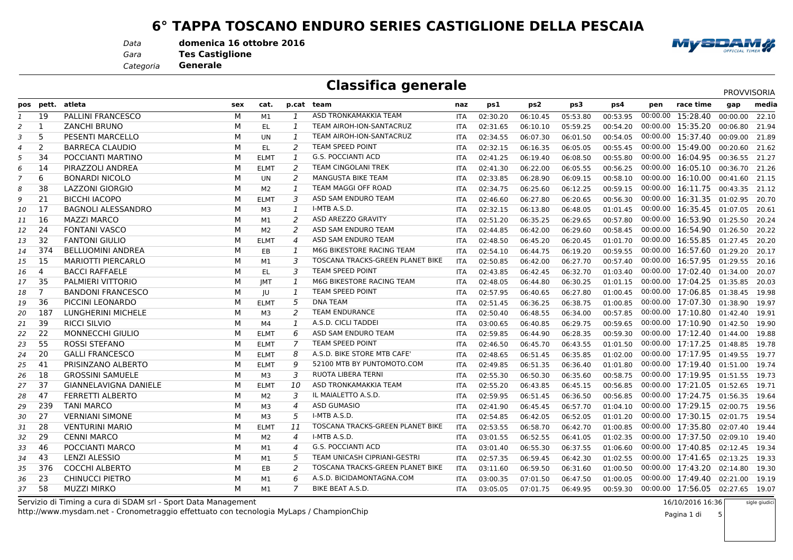#### **6° TAPPA TOSCANO ENDURO SERIES CASTIGLIONE DELLA PESCAIA**

*Data***domenica 16 ottobre 2016**

*Gara*

 **Tes CastiglioneGenerale**

*Categoria*

### **Classifica generale**

|    | pos pett.      | atleta                       | sex | cat.           |                | p.cat team                          | naz        | ps1      | ps2      | ps3      | ps4      | pen      | race time                        | gap      | media |
|----|----------------|------------------------------|-----|----------------|----------------|-------------------------------------|------------|----------|----------|----------|----------|----------|----------------------------------|----------|-------|
| 1  | 19             | <b>PALLINI FRANCESCO</b>     | М   | M1             | $\mathbf{1}$   | ASD TRONKAMAKKIA TEAM               | <b>ITA</b> | 02:30.20 | 06:10.45 | 05:53.80 | 00:53.95 | 00:00.00 | 15:28.40                         | 00:00.00 | 22.10 |
| 2  | 1              | <b>ZANCHI BRUNO</b>          | M   | EL             | $\mathbf{1}$   | TEAM AIROH-ION-SANTACRUZ            | <b>ITA</b> | 02:31.65 | 06:10.10 | 05:59.25 | 00:54.20 |          | 00:00.00 15:35.20 00:06.80       |          | 21.94 |
| 3  | 5              | PESENTI MARCELLO             | M   | <b>UN</b>      | 1              | TEAM AIROH-ION-SANTACRUZ            | <b>ITA</b> | 02:34.55 | 06:07.30 | 06:01.50 | 00:54.05 |          | 00:00.00 15:37.40 00:09.00       |          | 21.89 |
| 4  | 2              | <b>BARRECA CLAUDIO</b>       | M   | <b>EL</b>      | 2              | <b>TEAM SPEED POINT</b>             | ITA        | 02:32.15 | 06:16.35 | 06:05.05 | 00:55.45 |          | 00:00.00 15:49.00 00:20.60       |          | 21.62 |
| 5  | 34             | POCCIANTI MARTINO            | M   | <b>ELMT</b>    | 1              | <b>G.S. POCCIANTI ACD</b>           | <b>ITA</b> | 02:41.25 | 06:19.40 | 06:08.50 | 00:55.80 |          | 00:00.00 16:04.95 00:36.55       |          | 21.27 |
| 6  | 14             | PIRAZZOLI ANDREA             | M   | <b>ELMT</b>    | 2              | <b>TEAM CINGOLANI TREK</b>          | <b>ITA</b> | 02:41.30 | 06:22.00 | 06:05.55 | 00:56.25 |          | 00:00.00 16:05.10 00:36.70       |          | 21.26 |
|    | 6              | <b>BONARDI NICOLO</b>        | М   | UN             | 2              | MANGUSTA BIKE TEAM                  | <b>ITA</b> | 02:33.85 | 06:28.90 | 06:09.15 | 00:58.10 |          | 00:00.00 16:10.00 00:41.60       |          | 21.15 |
| 8  | 38             | <b>LAZZONI GIORGIO</b>       | M   | M <sub>2</sub> | 1              | TEAM MAGGI OFF ROAD                 | <b>ITA</b> | 02:34.75 | 06:25.60 | 06:12.25 | 00:59.15 |          | 00:00.00 16:11.75 00:43.35       |          | 21.12 |
| 9  | 21             | <b>BICCHI IACOPO</b>         | M   | <b>ELMT</b>    | 3              | ASD SAM ENDURO TEAM                 | <b>ITA</b> | 02:46.60 | 06:27.80 | 06:20.65 | 00:56.30 |          | 00:00.00 16:31.35 01:02.95       |          | 20.70 |
| 10 | 17             | <b>BAGNOLI ALESSANDRO</b>    | M   | M <sub>3</sub> | 1              | I-MTB A.S.D.                        | <b>ITA</b> | 02:32.15 | 06:13.80 | 06:48.05 | 01:01.45 |          | 00:00.00 16:35.45 01:07.05       |          | 20.61 |
| 11 | 16             | <b>MAZZI MARCO</b>           | M   | M1             | 2              | ASD AREZZO GRAVITY                  | <b>ITA</b> | 02:51.20 | 06:35.25 | 06:29.65 | 00:57.80 |          | 00:00.00 16:53.90 01:25.50       |          | 20.24 |
| 12 | 24             | <b>FONTANI VASCO</b>         | M   | M <sub>2</sub> | 2              | ASD SAM ENDURO TEAM                 | <b>ITA</b> | 02:44.85 | 06:42.00 | 06:29.60 | 00:58.45 |          | 00:00.00 16:54.90 01:26.50       |          | 20.22 |
| 13 | 32             | <b>FANTONI GIULIO</b>        | M   | <b>ELMT</b>    | $\overline{4}$ | ASD SAM ENDURO TEAM                 | <b>ITA</b> | 02:48.50 | 06:45.20 | 06:20.45 | 01:01.70 |          | 00:00.00 16:55.85 01:27.45       |          | 20.20 |
| 14 | 374            | <b>BELLUOMINI ANDREA</b>     | M   | EB             | 1              | M6G BIKESTORE RACING TEAM           | <b>ITA</b> | 02:54.10 | 06:44.75 | 06:19.20 | 00:59.55 |          | 00:00.00 16:57.60 01:29.20       |          | 20.17 |
| 15 | 15             | <b>MARIOTTI PIERCARLO</b>    | М   | M1             | 3              | TOSCANA TRACKS-GREEN PLANET BIKE    | <b>ITA</b> | 02:50.85 | 06:42.00 | 06:27.70 | 00:57.40 |          | 00:00.00 16:57.95 01:29.55       |          | 20.16 |
| 16 | $\overline{4}$ | <b>BACCI RAFFAELE</b>        | M   | EL.            | 3              | <b>TEAM SPEED POINT</b>             | <b>ITA</b> | 02:43.85 | 06:42.45 | 06:32.70 | 01:03.40 |          | 00:00.00 17:02.40 01:34.00       |          | 20.07 |
| 17 | 35             | PALMIERI VITTORIO            | M   | <b>IMT</b>     | 1              | M6G BIKESTORE RACING TEAM           | <b>ITA</b> | 02:48.05 | 06:44.80 | 06:30.25 | 01:01.15 |          | 00:00.00 17:04.25 01:35.85       |          | 20.03 |
| 18 | $\overline{7}$ | <b>BANDONI FRANCESCO</b>     | M   | JU             | 1              | TEAM SPEED POINT                    | <b>ITA</b> | 02:57.95 | 06:40.65 | 06:27.80 | 01:00.45 |          | 00:00.00 17:06.85 01:38.45       |          | 19.98 |
| 19 | 36             | PICCINI LEONARDO             | M   | <b>ELMT</b>    | 5              | <b>DNA TEAM</b>                     | <b>ITA</b> | 02:51.45 | 06:36.25 | 06:38.75 | 01:00.85 |          | 00:00.00 17:07.30 01:38.90       |          | 19.97 |
| 20 | 187            | <b>LUNGHERINI MICHELE</b>    | M   | M <sub>3</sub> | 2              | <b>TEAM ENDURANCE</b>               | <b>ITA</b> | 02:50.40 | 06:48.55 | 06:34.00 | 00:57.85 |          | 00:00.00 17:10.80 01:42.40       |          | 19.91 |
| 21 | 39             | <b>RICCI SILVIO</b>          | M   | M4             | 1              | A.S.D. CICLI TADDEI                 | <b>ITA</b> | 03:00.65 | 06:40.85 | 06:29.75 | 00:59.65 |          | 00:00.00 17:10.90 01:42.50       |          | 19.90 |
| 22 | 22             | <b>MONNECCHI GIULIO</b>      | М   | <b>ELMT</b>    | 6              | ASD SAM ENDURO TEAM                 | <b>ITA</b> | 02:59.85 | 06:44.90 | 06:28.35 | 00:59.30 |          | 00:00.00 17:12.40 01:44.00       |          | 19.88 |
| 23 | 55             | <b>ROSSI STEFANO</b>         | M   | <b>ELMT</b>    | 7              | <b>TEAM SPEED POINT</b>             | <b>ITA</b> | 02:46.50 | 06:45.70 | 06:43.55 | 01:01.50 |          | 00:00.00 17:17.25 01:48.85       |          | 19.78 |
| 24 | 20             | <b>GALLI FRANCESCO</b>       | M   | <b>ELMT</b>    | 8              | A.S.D. BIKE STORE MTB CAFE'         | <b>ITA</b> | 02:48.65 | 06:51.45 | 06:35.85 | 01:02.00 |          | 00:00.00 17:17.95 01:49.55       |          | 19.77 |
| 25 | 41             | PRISINZANO ALBERTO           | M   | <b>ELMT</b>    | 9              | 52100 MTB BY PUNTOMOTO.COM          | <b>ITA</b> | 02:49.85 | 06:51.35 | 06:36.40 | 01:01.80 |          | 00:00.00 17:19.40 01:51.00       |          | 19.74 |
| 26 | 18             | <b>GROSSINI SAMUELE</b>      | М   | M3             | 3              | RUOTA LIBERA TERNI                  | <b>ITA</b> | 02:55.30 | 06:50.30 | 06:35.60 | 00:58.75 |          | 00:00.00 17:19.95 01:51.55       |          | 19.73 |
| 27 | 37             | <b>GIANNELAVIGNA DANIELE</b> | M   | <b>ELMT</b>    | 10             | ASD TRONKAMAKKIA TEAM               | <b>ITA</b> | 02:55.20 | 06:43.85 | 06:45.15 | 00:56.85 |          | 00:00.00 17:21.05 01:52.65       |          | 19.71 |
| 28 | 47             | <b>FERRETTI ALBERTO</b>      | M   | M <sub>2</sub> | 3              | IL MAIALETTO A.S.D.                 | <b>ITA</b> | 02:59.95 | 06:51.45 | 06:36.50 | 00:56.85 |          | 00:00.00 17:24.75 01:56.35       |          | 19.64 |
| 29 | 239            | <b>TANI MARCO</b>            | M   | M <sub>3</sub> | 4              | <b>ASD GUMASIO</b>                  | <b>ITA</b> | 02:41.90 | 06:45.45 | 06:57.70 | 01:04.10 |          | 00:00.00 17:29.15 02:00.75       |          | 19.56 |
| 30 | 27             | <b>VERNIANI SIMONE</b>       | M   | M <sub>3</sub> | 5              | I-MTB A.S.D.                        | <b>ITA</b> | 02:54.85 | 06:42.05 | 06:52.05 | 01:01.20 |          | 00:00.00 17:30.15 02:01.75       |          | 19.54 |
| 31 | 28             | <b>VENTURINI MARIO</b>       | М   | <b>ELMT</b>    | 11             | TOSCANA TRACKS-GREEN PLANET BIKE    | <b>ITA</b> | 02:53.55 | 06:58.70 | 06:42.70 | 01:00.85 |          | 00:00.00 17:35.80 02:07.40       |          | 19.44 |
| 32 | 29             | <b>CENNI MARCO</b>           | М   | M <sub>2</sub> | $\overline{4}$ | I-MTB A.S.D.                        | <b>ITA</b> | 03:01.55 | 06:52.55 | 06:41.05 | 01:02.35 |          | 00:00.00 17:37.50 02:09.10       |          | 19.40 |
| 33 | 46             | POCCIANTI MARCO              | M   | M1             | 4              | <b>G.S. POCCIANTI ACD</b>           | <b>ITA</b> | 03:01.40 | 06:55.30 | 06:37.55 | 01:06.60 |          | 00:00.00 17:40.85 02:12.45       |          | 19.34 |
| 34 | 43             | LENZI ALESSIO                | M   | M1             | 5              | <b>TEAM UNICASH CIPRIANI-GESTRI</b> | <b>ITA</b> | 02:57.35 | 06:59.45 | 06:42.30 | 01:02.55 |          | 00:00.00 17:41.65 02:13.25       |          | 19.33 |
| 35 | 376            | <b>COCCHI ALBERTO</b>        | M   | EB             | 2              | TOSCANA TRACKS-GREEN PLANET BIKE    | <b>ITA</b> | 03:11.60 | 06:59.50 | 06:31.60 | 01:00.50 |          | 00:00.00 17:43.20 02:14.80       |          | 19.30 |
| 36 | 23             | <b>CHINUCCI PIETRO</b>       | M   | M1             | 6              | A.S.D. BICIDAMONTAGNA.COM           | <b>ITA</b> | 03:00.35 | 07:01.50 | 06:47.50 | 01:00.05 |          | 00:00.00 17:49.40 02:21.00       |          | 19.19 |
| 37 | 58             | <b>MUZZI MIRKO</b>           | M   | M1             | 7              | BIKE BEAT A.S.D.                    | <b>ITA</b> | 03:05.05 | 07:01.75 | 06:49.95 | 00:59.30 |          | 00:00.00 17:56.05 02:27.65 19.07 |          |       |
|    |                |                              |     |                |                |                                     |            |          |          |          |          |          |                                  |          |       |

 Servizio di Timing a cura di SDAM srl - Sport Data Managementhttp://www.mysdam.net - Cronometraggio effettuato con tecnologia MyLaps / ChampionChip  16/10/2016 16:36sigle giudic

5



PROVVISORIA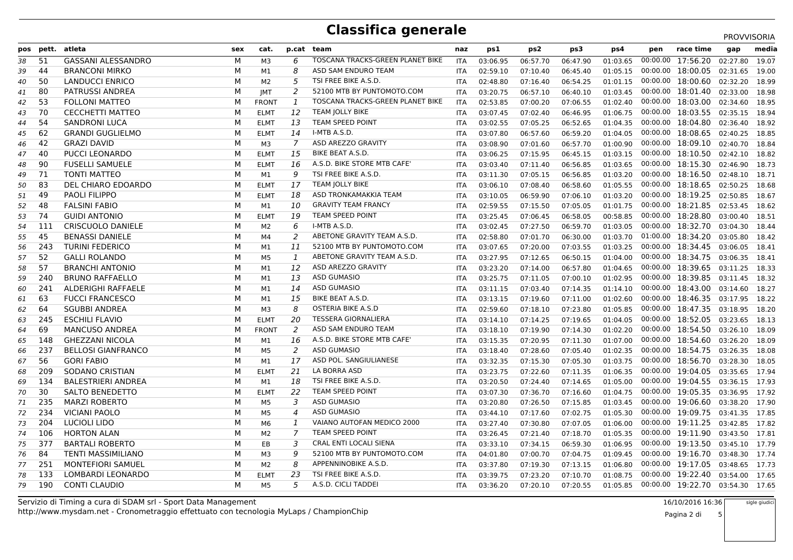|    |           |                           |     |                |                |                                  |            |          |          |          |          |          |                                  | PROVVISORIA |       |
|----|-----------|---------------------------|-----|----------------|----------------|----------------------------------|------------|----------|----------|----------|----------|----------|----------------------------------|-------------|-------|
|    | pos pett. | atleta                    | sex | cat.           |                | p.cat team                       | naz        | ps1      | ps2      | ps3      | ps4      | pen      | race time                        | gap         | media |
| 38 | 51        | <b>GASSANI ALESSANDRO</b> | м   | M <sub>3</sub> | 6              | TOSCANA TRACKS-GREEN PLANET BIKE | <b>ITA</b> | 03:06.95 | 06:57.70 | 06:47.90 | 01:03.65 | 00:00.00 | 17:56.20                         | 02:27.80    | 19.07 |
| 39 | 44        | <b>BRANCONI MIRKO</b>     | М   | M1             | 8              | ASD SAM ENDURO TEAM              | <b>ITA</b> | 02:59.10 | 07:10.40 | 06:45.40 | 01:05.15 |          | 00:00.00 18:00.05 02:31.65       |             | 19.00 |
| 40 | 50        | LANDUCCI ENRICO           | М   | M2             | 5              | TSI FREE BIKE A.S.D.             | <b>ITA</b> | 02:48.80 | 07:16.40 | 06:54.25 | 01:01.15 | 00:00.00 | 18:00.60 02:32.20                |             | 18.99 |
| 41 | 80        | <b>PATRUSSI ANDREA</b>    | м   | <b>JMT</b>     | 2              | 52100 MTB BY PUNTOMOTO.COM       | <b>ITA</b> | 03:20.75 | 06:57.10 | 06:40.10 | 01:03.45 |          | 00:00.00 18:01.40 02:33.00       |             | 18.98 |
| 42 | 53        | <b>FOLLONI MATTEO</b>     | М   | <b>FRONT</b>   | 1              | TOSCANA TRACKS-GREEN PLANET BIKE | ITA        | 02:53.85 | 07:00.20 | 07:06.55 | 01:02.40 |          | 00:00.00 18:03.00 02:34.60       |             | 18.95 |
| 43 | 70        | CECCHETTI MATTEO          | М   | <b>ELMT</b>    | 12             | <b>TEAM JOLLY BIKE</b>           | <b>ITA</b> | 03:07.45 | 07:02.40 | 06:46.95 | 01:06.75 |          | 00:00.00 18:03.55 02:35.15       |             | 18.94 |
| 44 | 54        | <b>SANDRONI LUCA</b>      | м   | <b>ELMT</b>    | 13             | <b>TEAM SPEED POINT</b>          | <b>ITA</b> | 03:02.55 | 07:05.25 | 06:52.65 | 01:04.35 |          | 00:00.00 18:04.80 02:36.40       |             | 18.92 |
| 45 | 62        | <b>GRANDI GUGLIELMO</b>   | М   | <b>ELMT</b>    | 14             | I-MTB A.S.D.                     | <b>ITA</b> | 03:07.80 | 06:57.60 | 06:59.20 | 01:04.05 |          | 00:00.00 18:08.65 02:40.25       |             | 18.85 |
| 46 | 42        | <b>GRAZI DAVID</b>        | М   | M <sub>3</sub> | $\overline{7}$ | ASD AREZZO GRAVITY               | <b>ITA</b> | 03:08.90 | 07:01.60 | 06:57.70 | 01:00.90 | 00:00.00 | 18:09.10 02:40.70                |             | 18.84 |
| 47 | 40        | PUCCI LEONARDO            | М   | <b>ELMT</b>    | 15             | BIKE BEAT A.S.D.                 | <b>ITA</b> | 03:06.25 | 07:15.95 | 06:45.15 | 01:03.15 |          | 00:00.00 18:10.50 02:42.10       |             | 18.82 |
| 48 | 90        | <b>FUSELLI SAMUELE</b>    | М   | <b>ELMT</b>    | 16             | A.S.D. BIKE STORE MTB CAFE'      | <b>ITA</b> | 03:03.40 | 07:11.40 | 06:56.85 | 01:03.65 |          | 00:00.00 18:15.30 02:46.90       |             | 18.73 |
| 49 | 71        | <b>TONTI MATTEO</b>       | м   | M1             | 9              | TSI FREE BIKE A.S.D.             | <b>ITA</b> | 03:11.30 | 07:05.15 | 06:56.85 | 01:03.20 |          | 00:00.00 18:16.50 02:48.10       |             | 18.71 |
| 50 | 83        | DEL CHIARO EDOARDO        | М   | <b>ELMT</b>    | 17             | <b>TEAM JOLLY BIKE</b>           | <b>ITA</b> | 03:06.10 | 07:08.40 | 06:58.60 | 01:05.55 |          | 00:00.00 18:18.65 02:50.25       |             | 18.68 |
| 51 | 49        | PAOLI FILIPPO             | М   | <b>ELMT</b>    | 18             | ASD TRONKAMAKKIA TEAM            | ITA        | 03:10.05 | 06:59.90 | 07:06.10 | 01:03.20 |          | 00:00.00 18:19.25 02:50.85       |             | 18.67 |
| 52 | 48        | <b>FALSINI FABIO</b>      | м   | M1             | 10             | <b>GRAVITY TEAM FRANCY</b>       | <b>ITA</b> | 02:59.55 | 07:15.50 | 07:05.05 | 01:01.75 |          | 00:00.00 18:21.85 02:53.45       |             | 18.62 |
| 53 | 74        | <b>GUIDI ANTONIO</b>      | М   | <b>ELMT</b>    | 19             | TEAM SPEED POINT                 | <b>ITA</b> | 03:25.45 | 07:06.45 | 06:58.05 | 00:58.85 |          | 00:00.00 18:28.80 03:00.40       |             | 18.51 |
| 54 | 111       | <b>CRISCUOLO DANIELE</b>  | М   | M2             | 6              | I-MTB A.S.D.                     | ITA        | 03:02.45 | 07:27.50 | 06:59.70 | 01:03.05 |          | 00:00.00 18:32.70 03:04.30       |             | 18.44 |
| 55 | 45        | <b>BENASSI DANIELE</b>    | М   | M4             | 2              | ABETONE GRAVITY TEAM A.S.D.      | <b>ITA</b> | 02:58.80 | 07:01.70 | 06:30.00 | 01:03.70 |          | 01:00.00 18:34.20 03:05.80       |             | 18.42 |
| 56 | 243       | <b>TURINI FEDERICO</b>    | М   | M1             | 11             | 52100 MTB BY PUNTOMOTO.COM       | <b>ITA</b> | 03:07.65 | 07:20.00 | 07:03.55 | 01:03.25 |          | 00:00.00 18:34.45 03:06.05       |             | 18.41 |
| 57 | 52        | <b>GALLI ROLANDO</b>      | М   | M5             | 1              | ABETONE GRAVITY TEAM A.S.D.      | <b>ITA</b> | 03:27.95 | 07:12.65 | 06:50.15 | 01:04.00 |          | 00:00.00 18:34.75 03:06.35       |             | 18.41 |
| 58 | 57        | <b>BRANCHI ANTONIO</b>    | М   | M1             | 12             | ASD AREZZO GRAVITY               | <b>ITA</b> | 03:23.20 | 07:14.00 | 06:57.80 | 01:04.65 |          | 00:00.00 18:39.65 03:11.25       |             | 18.33 |
| 59 | 240       | <b>BRUNO RAFFAELLO</b>    | M   | M1             | 13             | <b>ASD GUMASIO</b>               | <b>ITA</b> | 03:25.75 | 07:11.05 | 07:00.10 | 01:02.95 |          | 00:00.00 18:39.85 03:11.45       |             | 18.32 |
| 60 | 241       | ALDERIGHI RAFFAELE        | м   | M1             | 14             | <b>ASD GUMASIO</b>               | <b>ITA</b> | 03:11.15 | 07:03.40 | 07:14.35 | 01:14.10 |          | 00:00.00 18:43.00 03:14.60       |             | 18.27 |
| 61 | 63        | <b>FUCCI FRANCESCO</b>    | M   | M1             | 15             | BIKE BEAT A.S.D.                 | <b>ITA</b> | 03:13.15 | 07:19.60 | 07:11.00 | 01:02.60 |          | 00:00.00 18:46.35 03:17.95       |             | 18.22 |
| 62 | 64        | <b>SGUBBI ANDREA</b>      | М   | M <sub>3</sub> | 8              | <b>OSTERIA BIKE A.S.D</b>        | <b>ITA</b> | 02:59.60 | 07:18.10 | 07:23.80 | 01:05.85 |          | 00:00.00 18:47.35                | 03:18.95    | 18.20 |
| 63 | 245       | <b>ESCHILI FLAVIO</b>     | М   | <b>ELMT</b>    | 20             | <b>TESSERA GIORNALIERA</b>       | <b>ITA</b> | 03:14.10 | 07:14.25 | 07:19.65 | 01:04.05 |          | 00:00.00 18:52.05 03:23.65       |             | 18.13 |
| 64 | 69        | <b>MANCUSO ANDREA</b>     | М   | <b>FRONT</b>   | 2              | ASD SAM ENDURO TEAM              | ITA        | 03:18.10 | 07:19.90 | 07:14.30 | 01:02.20 |          | 00:00.00 18:54.50 03:26.10       |             | 18.09 |
| 65 | 148       | <b>GHEZZANI NICOLA</b>    | М   | M1             | 16             | A.S.D. BIKE STORE MTB CAFE       | <b>ITA</b> | 03:15.35 | 07:20.95 | 07:11.30 | 01:07.00 |          | 00:00.00 18:54.60                | 03:26.20    | 18.09 |
| 66 | 237       | <b>BELLOSI GIANFRANCO</b> | м   | M <sub>5</sub> | 2              | <b>ASD GUMASIO</b>               | <b>ITA</b> | 03:18.40 | 07:28.60 | 07:05.40 | 01:02.35 |          | 00:00.00 18:54.75 03:26.35       |             | 18.08 |
| 67 | 56        | <b>GORI FABIO</b>         | М   | M1             | 17             | ASD POL. SANGIULIANESE           | ITA        | 03:32.35 | 07:15.30 | 07:05.30 | 01:03.75 |          | 00:00.00 18:56.70 03:28.30       |             | 18.05 |
| 68 | 209       | <b>SODANO CRISTIAN</b>    | м   | <b>ELMT</b>    | 21             | LA BORRA ASD                     | <b>ITA</b> | 03:23.75 | 07:22.60 | 07:11.35 | 01:06.35 |          | 00:00.00 19:04.05                | 03:35.65    | 17.94 |
| 69 | 134       | <b>BALESTRIERI ANDREA</b> | М   | M1             | 18             | TSI FREE BIKE A.S.D.             | <b>ITA</b> | 03:20.50 | 07:24.40 | 07:14.65 | 01:05.00 |          | 00:00.00 19:04.55 03:36.15       |             | 17.93 |
| 70 | 30        | SALTO BENEDETTO           | M   | <b>ELMT</b>    | 22             | TEAM SPEED POINT                 | <b>ITA</b> | 03:07.30 | 07:36.70 | 07:16.60 | 01:04.75 |          | 00:00.00 19:05.35 03:36.95       |             | 17.92 |
| 71 | 235       | <b>MARZI ROBERTO</b>      | М   | M5             | 3              | <b>ASD GUMASIO</b>               | <b>ITA</b> | 03:20.80 | 07:26.50 | 07:15.85 | 01:03.45 |          | 00:00.00 19:06.60 03:38.20       |             | 17.90 |
| 72 | 234       | <b>VICIANI PAOLO</b>      | м   | M <sub>5</sub> | $\overline{4}$ | <b>ASD GUMASIO</b>               | <b>ITA</b> | 03:44.10 | 07:17.60 | 07:02.75 | 01:05.30 |          | 00:00.00 19:09.75 03:41.35       |             | 17.85 |
| 73 | 204       | LUCIOLI LIDO              | М   | M6             | 1              | VAIANO AUTOFAN MEDICO 2000       | <b>ITA</b> | 03:27.40 | 07:30.80 | 07:07.05 | 01:06.00 |          | 00:00.00 19:11.25 03:42.85       |             | 17.82 |
| 74 | 106       | <b>HORTON ALAN</b>        | М   | M2             | $\overline{7}$ | <b>TEAM SPEED POINT</b>          | <b>ITA</b> | 03:26.45 | 07:21.40 | 07:18.70 | 01:05.35 |          | 00:00.00 19:11.90 03:43.50       |             | 17.81 |
| 75 | 377       | <b>BARTALI ROBERTO</b>    | М   | EB             | 3              | <b>CRAL ENTI LOCALI SIENA</b>    | <b>ITA</b> | 03:33.10 | 07:34.15 | 06:59.30 | 01:06.95 |          | 00:00.00 19:13.50 03:45.10       |             | 17.79 |
| 76 | 84        | <b>TENTI MASSIMILIANO</b> | м   | M3             | 9              | 52100 MTB BY PUNTOMOTO.COM       | <b>ITA</b> | 04:01.80 | 07:00.70 | 07:04.75 | 01:09.45 |          | 00:00.00 19:16.70 03:48.30       |             | 17.74 |
| 77 | 251       | <b>MONTEFIORI SAMUEL</b>  | М   | M <sub>2</sub> | 8              | APPENNINOBIKE A.S.D.             | <b>ITA</b> | 03:37.80 | 07:19.30 | 07:13.15 | 01:06.80 |          | 00:00.00 19:17.05 03:48.65       |             | 17.73 |
| 78 | 133       | LOMBARDI LEONARDO         | М   | <b>ELMT</b>    | 23             | TSI FREE BIKE A.S.D              | ITA        | 03:39.75 | 07:23.20 | 07:10.70 | 01:08.75 |          | 00:00.00 19:22.40 03:54.00       |             | 17.65 |
| 79 | 190       | <b>CONTI CLAUDIO</b>      | м   | M <sub>5</sub> | 5              | A.S.D. CICLI TADDEI              | <b>ITA</b> | 03:36.20 | 07:20.10 | 07:20.55 | 01:05.85 |          | 00:00.00 19:22.70 03:54.30 17.65 |             |       |
|    |           |                           |     |                |                |                                  |            |          |          |          |          |          |                                  |             |       |

http://www.mysdam.net - Cronometraggio effettuato con tecnologia MyLaps / ChampionChipServizio di Timing a cura di SDAM srl - Sport Data Management 16/10/2016 16:36

Pagina 2 di 5sigle giudici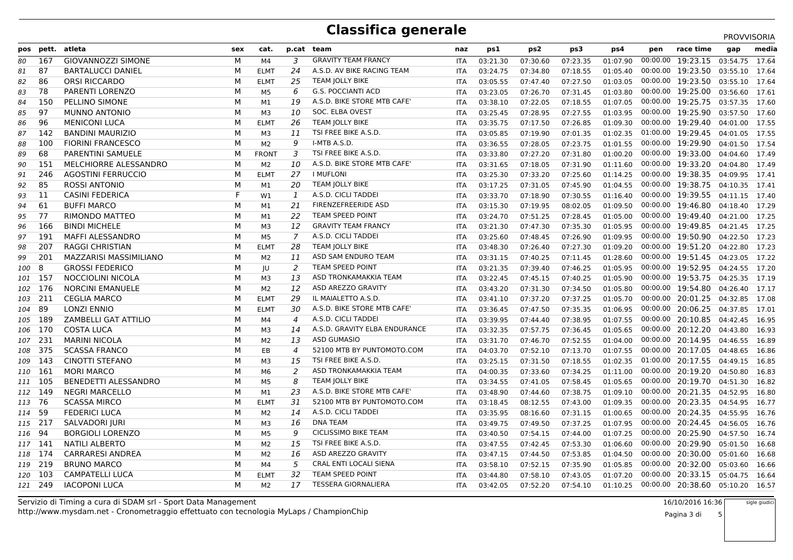|         |                |                             |     |                |                |                               |            |          |                 |          |          |          |                            | PROVVISORIA |       |
|---------|----------------|-----------------------------|-----|----------------|----------------|-------------------------------|------------|----------|-----------------|----------|----------|----------|----------------------------|-------------|-------|
|         | pos pett.      | atleta                      | sex | cat.           |                | p.cat team                    | naz        | ps1      | ps <sub>2</sub> | ps3      | ps4      | pen      | race time                  | gap         | media |
| 80      | 167            | <b>GIOVANNOZZI SIMONE</b>   | м   | M4             | 3              | <b>GRAVITY TEAM FRANCY</b>    | <b>ITA</b> | 03:21.30 | 07:30.60        | 07:23.35 | 01:07.90 | 00:00.00 | 19:23.15                   | 03:54.75    | 17.64 |
| 81      | 87             | <b>BARTALUCCI DANIEL</b>    | м   | <b>ELMT</b>    | 24             | A.S.D. AV BIKE RACING TEAM    | <b>ITA</b> | 03:24.75 | 07:34.80        | 07:18.55 | 01:05.40 |          | 00:00.00 19:23.50 03:55.10 |             | 17.64 |
| 82      | 86             | <b>ORSI RICCARDO</b>        | м   | <b>ELMT</b>    | 25             | <b>TEAM JOLLY BIKE</b>        | ITA        | 03:05.55 | 07:47.40        | 07:27.50 | 01:03.05 | 00:00.00 | 19:23.50 03:55.10          |             | 17.64 |
| 83      | 78             | <b>PARENTI LORENZO</b>      | м   | M5             | 6              | <b>G.S. POCCIANTI ACD</b>     | <b>ITA</b> | 03:23.05 | 07:26.70        | 07:31.45 | 01:03.80 |          | 00:00.00 19:25.00 03:56.60 |             | 17.61 |
| 84      | 150            | PELLINO SIMONE              | м   | M1             | 19             | A.S.D. BIKE STORE MTB CAFE'   | ITA        | 03:38.10 | 07:22.05        | 07:18.55 | 01:07.05 |          | 00:00.00 19:25.75 03:57.35 |             | 17.60 |
| 85      | 97             | <b>MUNNO ANTONIO</b>        | м   | M3             | 10             | SOC. ELBA OVEST               | ITA        | 03:25.45 | 07:28.95        | 07:27.55 | 01:03.95 | 00:00.00 | 19:25.90 03:57.50          |             | 17.60 |
| 86      | 96             | <b>MENICONI LUCA</b>        | м   | <b>ELMT</b>    | 26             | <b>TEAM JOLLY BIKE</b>        | ITA        | 03:35.75 | 07:17.50        | 07:26.85 | 01:09.30 |          | 00:00.00 19:29.40 04:01.00 |             | 17.55 |
| 87      | 142            | <b>BANDINI MAURIZIO</b>     | м   | M <sub>3</sub> | 11             | TSI FREE BIKE A.S.D.          | ITA        | 03:05.85 | 07:19.90        | 07:01.35 | 01:02.35 |          | 01:00.00 19:29.45 04:01.05 |             | 17.55 |
| 88      | 100            | <b>FIORINI FRANCESCO</b>    | м   | M <sub>2</sub> | 9              | I-MTB A.S.D.                  | <b>ITA</b> | 03:36.55 | 07:28.05        | 07:23.75 | 01:01.55 | 00:00.00 | 19:29.90                   | 04:01.50    | 17.54 |
| 89      | 68             | PARENTINI SAMUELE           | м   | <b>FRONT</b>   | 3              | TSI FREE BIKE A.S.D.          | ITA        | 03:33.80 | 07:27.20        | 07:31.80 | 01:00.20 |          | 00:00.00 19:33.00 04:04.60 |             | 17.49 |
| 90      | 151            | MELCHIORRE ALESSANDRO       | м   | M2             | 10             | A.S.D. BIKE STORE MTB CAFE'   | ITA        | 03:31.65 | 07:18.05        | 07:31.90 | 01:11.60 |          | 00:00.00 19:33.20 04:04.80 |             | 17.49 |
| 91      | 246            | <b>AGOSTINI FERRUCCIO</b>   | м   | <b>ELMT</b>    | 27             | <b>I MUFLONI</b>              | <b>ITA</b> | 03:25.30 | 07:33.20        | 07:25.60 | 01:14.25 | 00:00.00 | 19:38.35 04:09.95          |             | 17.41 |
| 92      | 85             | <b>ROSSI ANTONIO</b>        | М   | M1             | 20             | <b>TEAM JOLLY BIKE</b>        | <b>ITA</b> | 03:17.25 | 07:31.05        | 07:45.90 | 01:04.55 |          | 00:00.00 19:38.75 04:10.35 |             | 17.41 |
| 93      | 11             | <b>CASINI FEDERICA</b>      | F   | W1             | 1              | A.S.D. CICLI TADDEI           | ITA        | 03:33.70 | 07:18.90        | 07:30.55 | 01:16.40 |          | 00:00.00 19:39.55 04:11.15 |             | 17.40 |
| 94      | 61             | <b>BUFFI MARCO</b>          | м   | M1             | 21             | <b>FIRENZEFREERIDE ASD</b>    | <b>ITA</b> | 03:15.30 | 07:19.95        | 08:02.05 | 01:09.50 | 00:00.00 | 19:46.80 04:18.40          |             | 17.29 |
| 95      | 77             | RIMONDO MATTEO              | м   | M1             | 22             | <b>TEAM SPEED POINT</b>       | <b>ITA</b> | 03:24.70 | 07:51.25        | 07:28.45 | 01:05.00 |          | 00:00.00 19:49.40 04:21.00 |             | 17.25 |
| 96      | 166            | <b>BINDI MICHELE</b>        | м   | M3             | 12             | <b>GRAVITY TEAM FRANCY</b>    | ITA        | 03:21.30 | 07:47.30        | 07:35.30 | 01:05.95 |          | 00:00.00 19:49.85 04:21.45 |             | 17.25 |
| 97      | 191            | <b>MAFFI ALESSANDRO</b>     | м   | M5             | $\overline{7}$ | A.S.D. CICLI TADDEI           | <b>ITA</b> | 03:25.60 | 07:48.45        | 07:26.90 | 01:09.95 |          | 00:00.00 19:50.90 04:22.50 |             | 17.23 |
| 98      | 207            | <b>RAGGI CHRISTIAN</b>      | M   | <b>ELMT</b>    | 28             | <b>TEAM JOLLY BIKE</b>        | ITA        | 03:48.30 | 07:26.40        | 07:27.30 | 01:09.20 |          | 00:00.00 19:51.20          | 04:22.80    | 17.23 |
| 99      | 201            | MAZZARISI MASSIMILIANO      | м   | M <sub>2</sub> | 11             | ASD SAM ENDURO TEAM           | <b>ITA</b> | 03:31.15 | 07:40.25        | 07:11.45 | 01:28.60 |          | 00:00.00 19:51.45 04:23.05 |             | 17.22 |
| 100     | 8              | <b>GROSSI FEDERICO</b>      | М   | IU             | $\overline{2}$ | <b>TEAM SPEED POINT</b>       | <b>ITA</b> | 03:21.35 | 07:39.40        | 07:46.25 | 01:05.95 |          | 00:00.00 19:52.95 04:24.55 |             | 17.20 |
| 101     | - 157          | NOCCIOLINI NICOLA           | м   | MЗ             | 13             | ASD TRONKAMAKKIA TEAM         | ITA        | 03:22.45 | 07:45.15        | 07:40.25 | 01:05.90 | 00:00.00 | 19:53.75 04:25.35          |             | 17.19 |
|         | 102 176        | <b>NORCINI EMANUELE</b>     | м   | M <sub>2</sub> | 12             | ASD AREZZO GRAVITY            | <b>ITA</b> | 03:43.20 | 07:31.30        | 07:34.50 | 01:05.80 |          | 00:00.00 19:54.80 04:26.40 |             | 17.17 |
|         | 103 211        | <b>CEGLIA MARCO</b>         | м   | <b>ELMT</b>    | 29             | IL MAIALETTO A.S.D.           | <b>ITA</b> | 03:41.10 | 07:37.20        | 07:37.25 | 01:05.70 |          | 00:00.00 20:01.25 04:32.85 |             | 17.08 |
| 104     | 89             | <b>LONZI ENNIO</b>          | м   | <b>ELMT</b>    | 30             | A.S.D. BIKE STORE MTB CAFE'   | ITA        | 03:36.45 | 07:47.50        | 07:35.35 | 01:06.95 | 00:00.00 | 20:06.25                   | 04:37.85    | 17.01 |
| 105     | 189            | <b>ZAMBELLI GAT ATTILIO</b> | м   | M4             | $\overline{4}$ | A.S.D. CICLI TADDEI           | <b>ITA</b> | 03:39.95 | 07:44.40        | 07:38.95 | 01:07.55 |          | 00:00.00 20:10.85 04:42.45 |             | 16.95 |
|         | 106 170        | <b>COSTA LUCA</b>           | м   | MЗ             | 14             | A.S.D. GRAVITY ELBA ENDURANCE | ITA        | 03:32.35 | 07:57.75        | 07:36.45 | 01:05.65 |          | 00:00.00 20:12.20          | 04:43.80    | 16.93 |
| 107     | 231            | <b>MARINI NICOLA</b>        | м   | M <sub>2</sub> | 13             | <b>ASD GUMASIO</b>            | <b>ITA</b> | 03:31.70 | 07:46.70        | 07:52.55 | 01:04.00 | 00:00.00 | 20:14.95                   | 04:46.55    | 16.89 |
| 108     | 375            | <b>SCASSA FRANCO</b>        | м   | EB             | $\overline{4}$ | 52100 MTB BY PUNTOMOTO.COM    | <b>ITA</b> | 04:03.70 | 07:52.10        | 07:13.70 | 01:07.55 |          | 00:00.00 20:17.05 04:48.65 |             | 16.86 |
|         | 109 143        | CINOTTI STEFANO             | м   | M3             | 15             | TSI FREE BIKE A.S.D.          | ITA        | 03:25.15 | 07:31.50        | 07:18.55 | 01:02.35 |          | 01:00.00 20:17.55 04:49.15 |             | 16.85 |
|         | 110 161        | <b>MORI MARCO</b>           | м   | M6             | 2              | ASD TRONKAMAKKIA TEAM         | <b>ITA</b> | 04:00.35 | 07:33.60        | 07:34.25 | 01:11.00 | 00:00.00 | 20:19.20                   | 04:50.80    | 16.83 |
|         | 111 105        | <b>BENEDETTI ALESSANDRO</b> | м   | M <sub>5</sub> | 8              | <b>TEAM JOLLY BIKE</b>        | <b>ITA</b> | 03:34.55 | 07:41.05        | 07:58.45 | 01:05.65 |          | 00:00.00 20:19.70 04:51.30 |             | 16.82 |
|         | <i>112</i> 149 | <b>NEGRI MARCELLO</b>       | м   | M1             | 23             | A.S.D. BIKE STORE MTB CAFE'   | ITA        | 03:48.90 | 07:44.60        | 07:38.75 | 01:09.10 |          | 00:00.00 20:21.35 04:52.95 |             | 16.80 |
| 113 76  |                | <b>SCASSA MIRCO</b>         | м   | <b>ELMT</b>    | 31             | 52100 MTB BY PUNTOMOTO.COM    | <b>ITA</b> | 03:18.45 | 08:12.55        | 07:43.00 | 01:09.35 | 00:00.00 | 20:23.35 04:54.95          |             | 16.77 |
| 114 59  |                | <b>FEDERICI LUCA</b>        | м   | M <sub>2</sub> | 14             | A.S.D. CICLI TADDEI           | ITA        | 03:35.95 | 08:16.60        | 07:31.15 | 01:00.65 |          | 00:00.00 20:24.35 04:55.95 |             | 16.76 |
| 115 217 |                | SALVADORI JURI              | м   | M3             | 16             | <b>DNA TEAM</b>               | ITA        | 03:49.75 | 07:49.50        | 07:37.25 | 01:07.95 |          | 00:00.00 20:24.45 04:56.05 |             | 16.76 |
| 116 94  |                | <b>BORGIOLI LORENZO</b>     | м   | M5             | 9              | <b>CICLISSIMO BIKE TEAM</b>   | <b>ITA</b> | 03:40.50 | 07:54.15        | 07:44.00 | 01:07.25 |          | 00:00.00 20:25.90 04:57.50 |             | 16.74 |
| 117 141 |                | <b>NATILI ALBERTO</b>       | м   | M2             | 15             | TSI FREE BIKE A.S.D.          | ITA        | 03:47.55 | 07:42.45        | 07:53.30 | 01:06.60 | 00:00.00 | 20:29.90 05:01.50          |             | 16.68 |
| 118 174 |                | <b>CARRARESI ANDREA</b>     | м   | M <sub>2</sub> | 16             | ASD AREZZO GRAVITY            | <b>ITA</b> | 03:47.15 | 07:44.50        | 07:53.85 | 01:04.50 | 00:00.00 | 20:30.00 05:01.60          |             | 16.68 |
|         | 119 219        | <b>BRUNO MARCO</b>          | м   | M4             | 5              | CRAL ENTI LOCALI SIENA        | <b>ITA</b> | 03:58.10 | 07:52.15        | 07:35.90 | 01:05.85 |          | 00:00.00 20:32.00 05:03.60 |             | 16.66 |
| 120     | - 103          | <b>CAMPATELLI LUCA</b>      | M   | <b>ELMT</b>    | 32             | <b>TEAM SPEED POINT</b>       | ITA        | 03:44.80 | 07:58.10        | 07:43.05 | 01:07.20 | 00:00.00 | 20:33.15                   | 05:04.75    | 16.64 |
|         | 121 249        | <b>IACOPONI LUCA</b>        | м   | M <sub>2</sub> | 17             | <b>TESSERA GIORNALIERA</b>    | <b>ITA</b> | 03:42.05 | 07:52.20        | 07:54.10 | 01:10.25 |          | 00:00.00 20:38.60 05:10.20 |             | 16.57 |
|         |                |                             |     |                |                |                               |            |          |                 |          |          |          |                            |             |       |

http://www.mysdam.net - Cronometraggio effettuato con tecnologia MyLaps / ChampionChipServizio di Timing a cura di SDAM srl - Sport Data Management 16/10/2016 16:36

 5sigle giudici

Pagina 3 di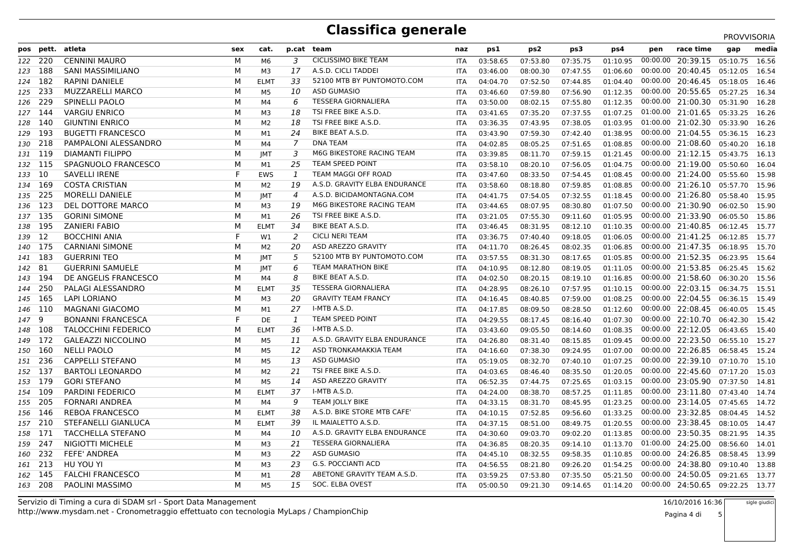|                |           |                            |     |                |                |                               |            |          |                 |          |          |          |                                  | PROVVISORIA |       |
|----------------|-----------|----------------------------|-----|----------------|----------------|-------------------------------|------------|----------|-----------------|----------|----------|----------|----------------------------------|-------------|-------|
|                | pos pett. | atleta                     | sex | cat.           |                | p.cat team                    | naz        | ps1      | ps <sub>2</sub> | ps3      | ps4      | pen      | race time                        | gap         | media |
| 122 220        |           | <b>CENNINI MAURO</b>       | м   | M <sub>6</sub> | 3              | <b>CICLISSIMO BIKE TEAM</b>   | <b>ITA</b> | 03:58.65 | 07:53.80        | 07:35.75 | 01:10.95 | 00:00.00 | 20:39.15                         | 05:10.75    | 16.56 |
| 123 188        |           | <b>SANI MASSIMILIANO</b>   | M   | M3             | 17             | A.S.D. CICLI TADDEI           | <b>ITA</b> | 03:46.00 | 08:00.30        | 07:47.55 | 01:06.60 |          | 00:00.00 20:40.45 05:12.05       |             | 16.54 |
| 124 182        |           | <b>RAPINI DANIELE</b>      | М   | <b>ELMT</b>    | 33             | 52100 MTB BY PUNTOMOTO.COM    | <b>ITA</b> | 04:04.70 | 07:52.50        | 07:44.85 | 01:04.40 | 00:00.00 | 20:46.45 05:18.05                |             | 16.46 |
| 125 233        |           | <b>MUZZARELLI MARCO</b>    | м   | M5             | 10             | <b>ASD GUMASIO</b>            | <b>ITA</b> | 03:46.60 | 07:59.80        | 07:56.90 | 01:12.35 |          | 00:00.00 20:55.65 05:27.25       |             | 16.34 |
| 126            | 229       | <b>SPINELLI PAOLO</b>      | М   | M4             | 6              | <b>TESSERA GIORNALIERA</b>    | <b>ITA</b> | 03:50.00 | 08:02.15        | 07:55.80 | 01:12.35 |          | 00:00.00 21:00.30 05:31.90       |             | 16.28 |
| 127 144        |           | <b>VARGIU ENRICO</b>       | м   | M <sub>3</sub> | 18             | TSI FREE BIKE A.S.D.          | <b>ITA</b> | 03:41.65 | 07:35.20        | 07:37.55 | 01:07.25 |          | 01:00.00 21:01.65 05:33.25       |             | 16.26 |
| 128 140        |           | <b>GIUNTINI ENRICO</b>     | М   | M <sub>2</sub> | 18             | TSI FREE BIKE A.S.D.          | ITA        | 03:36.35 | 07:43.95        | 07:38.05 | 01:03.95 |          | 01:00.00 21:02.30 05:33.90       |             | 16.26 |
| 129            | 193       | <b>BUGETTI FRANCESCO</b>   | М   | M1             | 24             | <b>BIKE BEAT A.S.D.</b>       | <b>ITA</b> | 03:43.90 | 07:59.30        | 07:42.40 | 01:38.95 |          | 00:00.00 21:04.55 05:36.15       |             | 16.23 |
| 130 218        |           | PAMPALONI ALESSANDRO       | м   | M4             | $\overline{7}$ | <b>DNA TEAM</b>               | <b>ITA</b> | 04:02.85 | 08:05.25        | 07:51.65 | 01:08.85 |          | 00:00.00 21:08.60 05:40.20       |             | 16.18 |
| 131 119        |           | <b>DIAMANTI FILIPPO</b>    | М   | <b>IMT</b>     | 3              | M6G BIKESTORE RACING TEAM     | <b>ITA</b> | 03:39.85 | 08:11.70        | 07:59.15 | 01:21.45 |          | 00:00.00 21:12.15 05:43.75       |             | 16.13 |
| 132 115        |           | SPAGNUOLO FRANCESCO        | М   | M1             | 25             | TEAM SPEED POINT              | ITA        | 03:58.10 | 08:20.10        | 07:56.05 | 01:04.75 |          | 00:00.00 21:19.00 05:50.60       |             | 16.04 |
| 133 10         |           | <b>SAVELLI IRENE</b>       | F   | <b>EWS</b>     | 1              | TEAM MAGGI OFF ROAD           | <b>ITA</b> | 03:47.60 | 08:33.50        | 07:54.45 | 01:08.45 |          | 00:00.00 21:24.00 05:55.60       |             | 15.98 |
| 134 169        |           | <b>COSTA CRISTIAN</b>      | M   | M <sub>2</sub> | 19             | A.S.D. GRAVITY ELBA ENDURANCE | <b>ITA</b> | 03:58.60 | 08:18.80        | 07:59.85 | 01:08.85 |          | 00:00.00 21:26.10 05:57.70       |             | 15.96 |
| <i>135</i> 225 |           | <b>MORELLI DANIELE</b>     | М   | <b>IMT</b>     | 4              | A.S.D. BICIDAMONTAGNA.COM     | ITA        | 04:41.75 | 07:54.05        | 07:32.55 | 01:18.45 |          | 00:00.00 21:26.80 05:58.40       |             | 15.95 |
| 136 123        |           | DEL DOTTORE MARCO          | М   | M3             | 19             | M6G BIKESTORE RACING TEAM     | <b>ITA</b> | 03:44.65 | 08:07.95        | 08:30.80 | 01:07.50 |          | 00:00.00 21:30.90 06:02.50       |             | 15.90 |
| 137 135        |           | <b>GORINI SIMONE</b>       | М   | M <sub>1</sub> | 26             | TSI FREE BIKE A.S.D.          | <b>ITA</b> | 03:21.05 | 07:55.30        | 09:11.60 | 01:05.95 |          | 00:00.00 21:33.90 06:05.50       |             | 15.86 |
| 138 195        |           | <b>ZANIERI FABIO</b>       | М   | <b>ELMT</b>    | 34             | <b>BIKE BEAT A.S.D.</b>       | <b>ITA</b> | 03:46.45 | 08:31.95        | 08:12.10 | 01:10.35 |          | 00:00.00 21:40.85 06:12.45       |             | 15.77 |
| 139 12         |           | <b>BOCCHINI ANIA</b>       | F   | W1             | 2              | <b>CICLI NERI TEAM</b>        | <b>ITA</b> | 03:36.75 | 07:40.40        | 09:18.05 | 01:06.05 |          | 00:00.00 21:41.25 06:12.85       |             | 15.77 |
| 140 175        |           | <b>CARNIANI SIMONE</b>     | М   | M2             | 20             | ASD AREZZO GRAVITY            | ITA        | 04:11.70 | 08:26.45        | 08:02.35 | 01:06.85 |          | 00:00.00 21:47.35 06:18.95       |             | 15.70 |
| 141 183        |           | <b>GUERRINI TEO</b>        | м   | <b>IMT</b>     | 5              | 52100 MTB BY PUNTOMOTO.COM    | ITA        | 03:57.55 | 08:31.30        | 08:17.65 | 01:05.85 |          | 00:00.00 21:52.35                | 06:23.95    | 15.64 |
| 142            | 81        | <b>GUERRINI SAMUELE</b>    | М   | <b>IMT</b>     | 6              | <b>TEAM MARATHON BIKE</b>     | <b>ITA</b> | 04:10.95 | 08:12.80        | 08:19.05 | 01:11.05 |          | 00:00.00 21:53.85                | 06:25.45    | 15.62 |
| 143            | - 194     | DE ANGELIS FRANCESCO       | М   | M4             | 8              | <b>BIKE BEAT A.S.D.</b>       | <b>ITA</b> | 04:02.50 | 08:20.15        | 08:19.10 | 01:16.85 |          | 00:00.00 21:58.60 06:30.20       |             | 15.56 |
| 144 250        |           | PALAGI ALESSANDRO          | м   | <b>ELMT</b>    | 35             | <b>TESSERA GIORNALIERA</b>    | <b>ITA</b> | 04:28.95 | 08:26.10        | 07:57.95 | 01:10.15 |          | 00:00.00 22:03.15 06:34.75       |             | 15.51 |
| 145            | - 165     | <b>LAPI LORIANO</b>        | М   | M <sub>3</sub> | 20             | <b>GRAVITY TEAM FRANCY</b>    | ITA        | 04:16.45 | 08:40.85        | 07:59.00 | 01:08.25 |          | 00:00.00 22:04.55                | 06:36.15    | 15.49 |
| 146 110        |           | <b>MAGNANI GIACOMO</b>     | М   | M1             | 27             | I-MTB A.S.D.                  | ITA        | 04:17.85 | 08:09.50        | 08:28.50 | 01:12.60 | 00:00.00 | 22:08.45 06:40.05                |             | 15.45 |
| 1479           |           | <b>BONANNI FRANCESCA</b>   | F   | DE             | 1              | <b>TEAM SPEED POINT</b>       | <b>ITA</b> | 04:29.55 | 08:17.45        | 08:16.40 | 01:07.30 |          | 00:00.00 22:10.70 06:42.30       |             | 15.42 |
| 148 108        |           | <b>TALOCCHINI FEDERICO</b> | М   | <b>ELMT</b>    | 36             | I-MTB A.S.D.                  | ITA        | 03:43.60 | 09:05.50        | 08:14.60 | 01:08.35 |          | 00:00.00 22:12.05 06:43.65       |             | 15.40 |
| 149            | - 172     | <b>GALEAZZI NICCOLINO</b>  | м   | M <sub>5</sub> | 11             | A.S.D. GRAVITY ELBA ENDURANCE | <b>ITA</b> | 04:26.80 | 08:31.40        | 08:15.85 | 01:09.45 | 00:00.00 | 22:23.50 06:55.10                |             | 15.27 |
| 150 160        |           | <b>NELLI PAOLO</b>         | М   | M <sub>5</sub> | 12             | ASD TRONKAMAKKIA TEAM         | <b>ITA</b> | 04:16.60 | 07:38.30        | 09:24.95 | 01:07.00 |          | 00:00.00 22:26.85 06:58.45       |             | 15.24 |
| 151 236        |           | <b>CAPPELLI STEFANO</b>    | М   | M <sub>5</sub> | 13             | <b>ASD GUMASIO</b>            | ITA        | 05:19.05 | 08:32.70        | 07:40.10 | 01:07.25 |          | 00:00.00 22:39.10 07:10.70       |             | 15.10 |
| 152 137        |           | <b>BARTOLI LEONARDO</b>    | М   | M <sub>2</sub> | 21             | TSI FREE BIKE A.S.D.          | ITA        | 04:03.65 | 08:46.40        | 08:35.50 | 01:20.05 | 00:00.00 | 22:45.60 07:17.20                |             | 15.03 |
| 153 179        |           | <b>GORI STEFANO</b>        | М   | M <sub>5</sub> | 14             | ASD AREZZO GRAVITY            | ITA        | 06:52.35 | 07:44.75        | 07:25.65 | 01:03.15 |          | 00:00.00 23:05.90 07:37.50       |             | 14.81 |
| 154 109        |           | <b>PARDINI FEDERICO</b>    | м   | <b>ELMT</b>    | 37             | I-MTB A.S.D.                  | ITA        | 04:24.00 | 08:38.70        | 08:57.25 | 01:11.85 |          | 00:00.00 23:11.80 07:43.40       |             | 14.74 |
| 155 205        |           | <b>FORNARI ANDREA</b>      | М   | M4             | 9              | <b>TEAM JOLLY BIKE</b>        | ITA        | 04:33.15 | 08:31.70        | 08:45.95 | 01:23.25 |          | 00:00.00 23:14.05 07:45.65       |             | 14.72 |
| 156 146        |           | <b>REBOA FRANCESCO</b>     | М   | <b>ELMT</b>    | 38             | A.S.D. BIKE STORE MTB CAFE'   | ITA        | 04:10.15 | 07:52.85        | 09:56.60 | 01:33.25 |          | 00:00.00 23:32.85 08:04.45       |             | 14.52 |
| 157 210        |           | STEFANELLI GIANLUCA        | м   | <b>ELMT</b>    | 39             | IL MAIALETTO A.S.D.           | <b>ITA</b> | 04:37.15 | 08:51.00        | 08:49.75 | 01:20.55 |          | 00:00.00 23:38.45 08:10.05       |             | 14.47 |
| 158 171        |           | <b>TACCHELLA STEFANO</b>   | М   | M4             | 10             | A.S.D. GRAVITY ELBA ENDURANCE | <b>ITA</b> | 04:30.60 | 09:03.70        | 09:02.20 | 01:13.85 |          | 00:00.00 23:50.35 08:21.95       |             | 14.35 |
| 159            | -247      | NIGIOTTI MICHELE           | М   | M3             | 21             | <b>TESSERA GIORNALIERA</b>    | ITA        | 04:36.85 | 08:20.35        | 09:14.10 | 01:13.70 |          | 01:00.00 24:25.00 08:56.60       |             | 14.01 |
| 160            | 232       | <b>FEFE' ANDREA</b>        | М   | M <sub>3</sub> | 22             | <b>ASD GUMASIO</b>            | ITA        | 04:45.10 | 08:32.55        | 09:58.35 | 01:10.85 |          | 00:00.00 24:26.85                | 08:58.45    | 13.99 |
| 161            | 213       | HU YOU YI                  | М   | M <sub>3</sub> | 23             | <b>G.S. POCCIANTI ACD</b>     | <b>ITA</b> | 04:56.55 | 08:21.80        | 09:26.20 | 01:54.25 |          | 00:00.00 24:38.80 09:10.40       |             | 13.88 |
| 162 145        |           | <b>FALCHI FRANCESCO</b>    | М   | M1             | 28             | ABETONE GRAVITY TEAM A.S.D.   | ITA        | 03:59.25 | 07:53.80        | 07:35.50 | 05:21.50 | 00:00.00 | 24:50.05                         | 09:21.65    | 13.77 |
| 163 208        |           | <b>PAOLINI MASSIMO</b>     | М   | M <sub>5</sub> | 15             | SOC. ELBA OVEST               | <b>ITA</b> | 05:00.50 | 09:21.30        | 09:14.65 | 01:14.20 |          | 00:00.00 24:50.65 09:22.25 13.77 |             |       |
|                |           |                            |     |                |                |                               |            |          |                 |          |          |          |                                  |             |       |

http://www.mysdam.net - Cronometraggio effettuato con tecnologia MyLaps / ChampionChipServizio di Timing a cura di SDAM srl - Sport Data Management 16/10/2016 16:36

Pagina 4 di 5sigle giudici